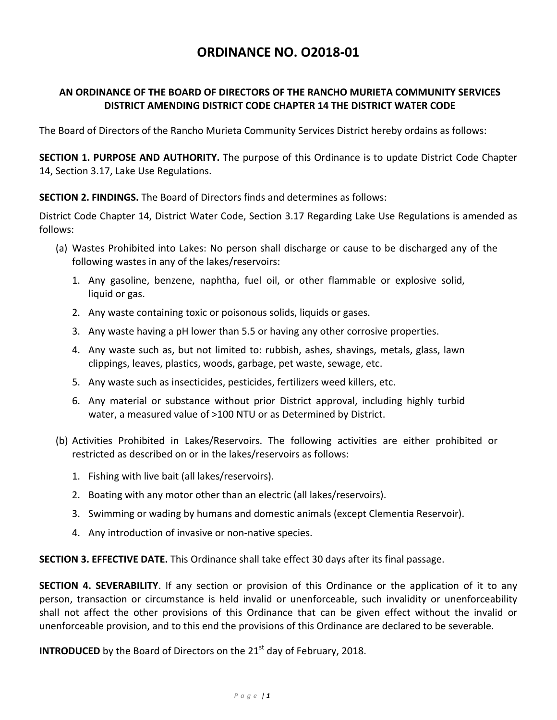## **ORDINANCE NO. O2018‐01**

## **AN ORDINANCE OF THE BOARD OF DIRECTORS OF THE RANCHO MURIETA COMMUNITY SERVICES DISTRICT AMENDING DISTRICT CODE CHAPTER 14 THE DISTRICT WATER CODE**

The Board of Directors of the Rancho Murieta Community Services District hereby ordains as follows:

**SECTION 1. PURPOSE AND AUTHORITY.** The purpose of this Ordinance is to update District Code Chapter 14, Section 3.17, Lake Use Regulations.

**SECTION 2. FINDINGS.** The Board of Directors finds and determines as follows:

District Code Chapter 14, District Water Code, Section 3.17 Regarding Lake Use Regulations is amended as follows:

- (a) Wastes Prohibited into Lakes: No person shall discharge or cause to be discharged any of the following wastes in any of the lakes/reservoirs:
	- 1. Any gasoline, benzene, naphtha, fuel oil, or other flammable or explosive solid, liquid or gas.
	- 2. Any waste containing toxic or poisonous solids, liquids or gases.
	- 3. Any waste having a pH lower than 5.5 or having any other corrosive properties.
	- 4. Any waste such as, but not limited to: rubbish, ashes, shavings, metals, glass, lawn clippings, leaves, plastics, woods, garbage, pet waste, sewage, etc.
	- 5. Any waste such as insecticides, pesticides, fertilizers weed killers, etc.
	- 6. Any material or substance without prior District approval, including highly turbid water, a measured value of >100 NTU or as Determined by District.
- (b) Activities Prohibited in Lakes/Reservoirs. The following activities are either prohibited or restricted as described on or in the lakes/reservoirs as follows:
	- 1. Fishing with live bait (all lakes/reservoirs).
	- 2. Boating with any motor other than an electric (all lakes/reservoirs).
	- 3. Swimming or wading by humans and domestic animals (except Clementia Reservoir).
	- 4. Any introduction of invasive or non‐native species.

**SECTION 3. EFFECTIVE DATE.** This Ordinance shall take effect 30 days after its final passage.

**SECTION 4. SEVERABILITY**. If any section or provision of this Ordinance or the application of it to any person, transaction or circumstance is held invalid or unenforceable, such invalidity or unenforceability shall not affect the other provisions of this Ordinance that can be given effect without the invalid or unenforceable provision, and to this end the provisions of this Ordinance are declared to be severable.

**INTRODUCED** by the Board of Directors on the 21<sup>st</sup> day of February, 2018.